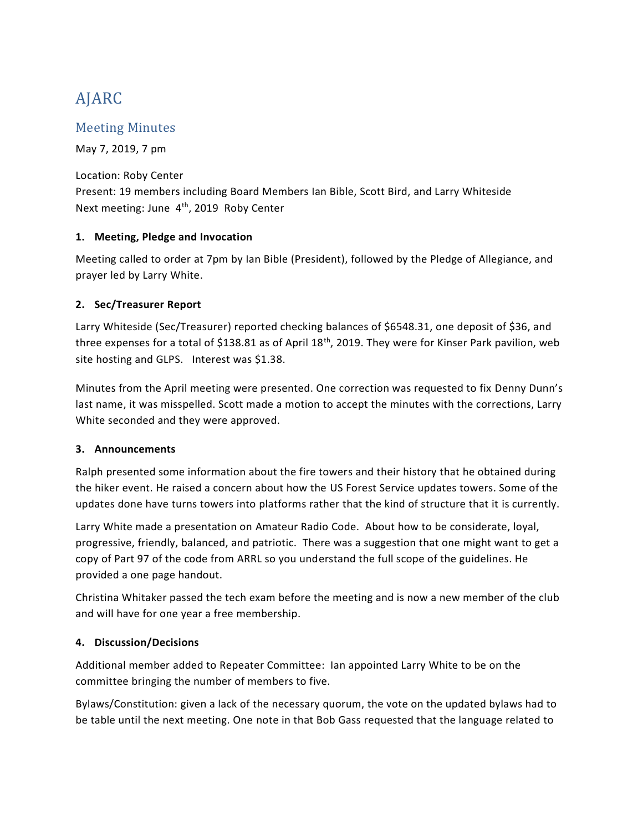# AJARC

# Meeting Minutes

May 7, 2019, 7 pm

Location: Roby Center Present: 19 members including Board Members Ian Bible, Scott Bird, and Larry Whiteside Next meeting: June 4<sup>th</sup>, 2019 Roby Center

# **1. Meeting, Pledge and Invocation**

Meeting called to order at 7pm by Ian Bible (President), followed by the Pledge of Allegiance, and prayer led by Larry White.

# **2. Sec/Treasurer Report**

Larry Whiteside (Sec/Treasurer) reported checking balances of \$6548.31, one deposit of \$36, and three expenses for a total of \$138.81 as of April 18<sup>th</sup>, 2019. They were for Kinser Park pavilion, web site hosting and GLPS. Interest was \$1.38.

Minutes from the April meeting were presented. One correction was requested to fix Denny Dunn's last name, it was misspelled. Scott made a motion to accept the minutes with the corrections, Larry White seconded and they were approved.

### **3. Announcements**

Ralph presented some information about the fire towers and their history that he obtained during the hiker event. He raised a concern about how the US Forest Service updates towers. Some of the updates done have turns towers into platforms rather that the kind of structure that it is currently.

Larry White made a presentation on Amateur Radio Code. About how to be considerate, loyal, progressive, friendly, balanced, and patriotic. There was a suggestion that one might want to get a copy of Part 97 of the code from ARRL so you understand the full scope of the guidelines. He provided a one page handout.

Christina Whitaker passed the tech exam before the meeting and is now a new member of the club and will have for one year a free membership.

### **4. Discussion/Decisions**

Additional member added to Repeater Committee: Ian appointed Larry White to be on the committee bringing the number of members to five.

Bylaws/Constitution: given a lack of the necessary quorum, the vote on the updated bylaws had to be table until the next meeting. One note in that Bob Gass requested that the language related to